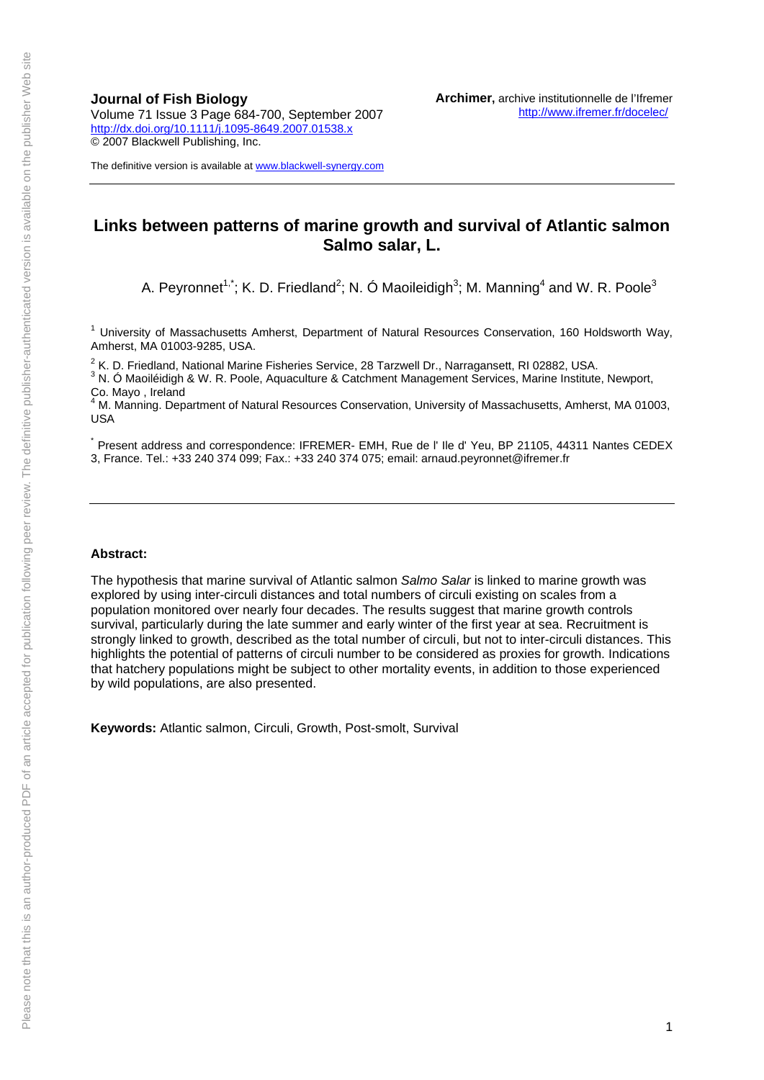**Journal of Fish Biology**  Volume 71 Issue 3 Page 684-700, September 2007 <http://dx.doi.org/10.1111/j.1095-8649.2007.01538.x> © 2007 Blackwell Publishing, Inc.

The definitive version is available at [www.blackwell-synergy.com](http://www.blackwell-synergy.com/)

### **Links between patterns of marine growth and survival of Atlantic salmon Salmo salar, L.**

A. Peyronnet<sup>1,\*</sup>; K. D. Friedland<sup>2</sup>; N. Ó Maoileidigh<sup>3</sup>; M. Manning<sup>4</sup> and W. R. Poole<sup>3</sup>

<sup>1</sup> University of Massachusetts Amherst, Department of Natural Resources Conservation, 160 Holdsworth Way, Amherst, MA 01003-9285, USA.

<sup>2</sup> K. D. Friedland, National Marine Fisheries Service, 28 Tarzwell Dr., Narragansett, RI 02882, USA.<br><sup>3</sup> N. Ó Maoiláidigh 8 W. B. Roele, Aguagulture 8 Cetabroart Managament Services, Marine Ipotitute

<sup>3</sup> N. Ó Maoiléidigh & W. R. Poole, Aquaculture & Catchment Management Services, Marine Institute, Newport, Co. Mayo , Ireland

4 M. Manning. Department of Natural Resources Conservation, University of Massachusetts, Amherst, MA 01003, USA

\* Present address and correspondence: IFREMER- EMH, Rue de l' Ile d' Yeu, BP 21105, 44311 Nantes CEDEX 3, France. Tel.: +33 240 374 099; Fax.: +33 240 374 075; email: arnaud.peyronnet@ifremer.fr

#### **Abstract:**

The hypothesis that marine survival of Atlantic salmon *Salmo Salar* is linked to marine growth was explored by using inter-circuli distances and total numbers of circuli existing on scales from a population monitored over nearly four decades. The results suggest that marine growth controls survival, particularly during the late summer and early winter of the first year at sea. Recruitment is strongly linked to growth, described as the total number of circuli, but not to inter-circuli distances. This highlights the potential of patterns of circuli number to be considered as proxies for growth. Indications that hatchery populations might be subject to other mortality events, in addition to those experienced by wild populations, are also presented.

**Keywords:** Atlantic salmon, Circuli, Growth, Post-smolt, Survival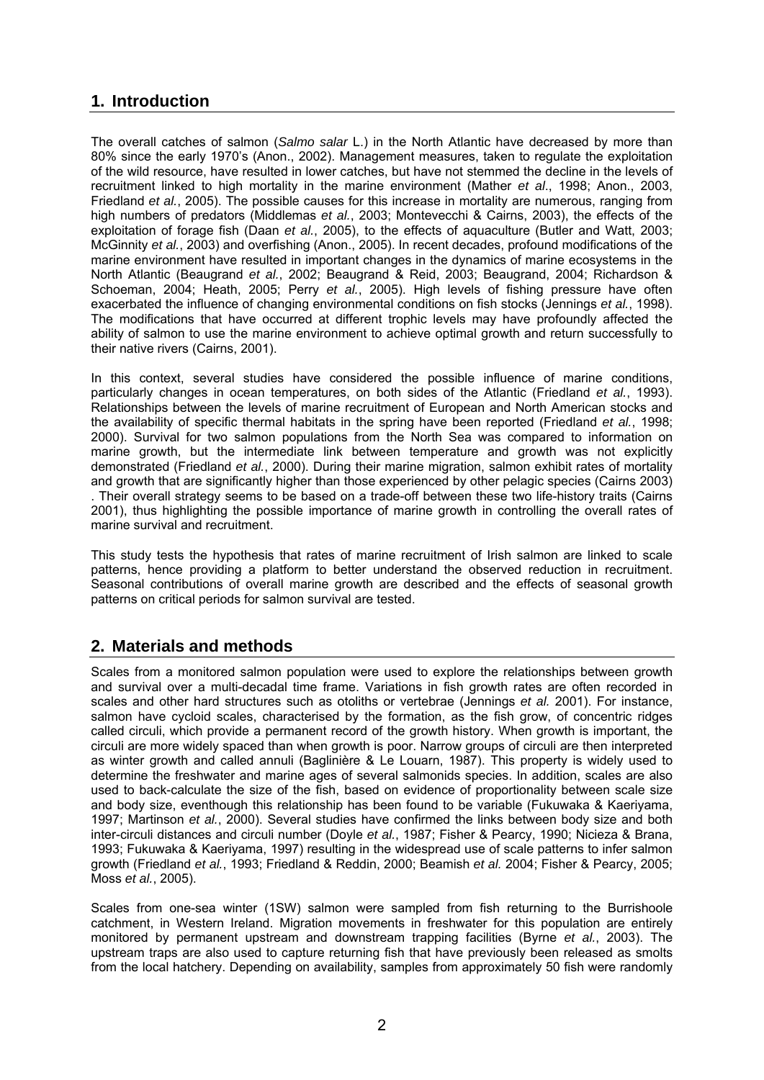# **1. Introduction**

The overall catches of salmon (*Salmo salar* L.) in the North Atlantic have decreased by more than 80% since the early 1970's (Anon., 2002). Management measures, taken to regulate the exploitation of the wild resource, have resulted in lower catches, but have not stemmed the decline in the levels of recruitment linked to high mortality in the marine environment (Mather *et al*., 1998; Anon., 2003, Friedland *et al.*, 2005). The possible causes for this increase in mortality are numerous, ranging from high numbers of predators (Middlemas *et al.*, 2003; Montevecchi & Cairns, 2003), the effects of the exploitation of forage fish (Daan *et al.*, 2005), to the effects of aquaculture (Butler and Watt, 2003; McGinnity *et al.*, 2003) and overfishing (Anon., 2005). In recent decades, profound modifications of the marine environment have resulted in important changes in the dynamics of marine ecosystems in the North Atlantic (Beaugrand *et al.*, 2002; Beaugrand & Reid, 2003; Beaugrand, 2004; Richardson & Schoeman, 2004; Heath, 2005; Perry *et al.*, 2005). High levels of fishing pressure have often exacerbated the influence of changing environmental conditions on fish stocks (Jennings *et al.*, 1998). The modifications that have occurred at different trophic levels may have profoundly affected the ability of salmon to use the marine environment to achieve optimal growth and return successfully to their native rivers (Cairns, 2001).

In this context, several studies have considered the possible influence of marine conditions, particularly changes in ocean temperatures, on both sides of the Atlantic (Friedland *et al.*, 1993). Relationships between the levels of marine recruitment of European and North American stocks and the availability of specific thermal habitats in the spring have been reported (Friedland *et al.*, 1998; 2000). Survival for two salmon populations from the North Sea was compared to information on marine growth, but the intermediate link between temperature and growth was not explicitly demonstrated (Friedland *et al.*, 2000). During their marine migration, salmon exhibit rates of mortality and growth that are significantly higher than those experienced by other pelagic species (Cairns 2003) . Their overall strategy seems to be based on a trade-off between these two life-history traits (Cairns 2001), thus highlighting the possible importance of marine growth in controlling the overall rates of marine survival and recruitment.

This study tests the hypothesis that rates of marine recruitment of Irish salmon are linked to scale patterns, hence providing a platform to better understand the observed reduction in recruitment. Seasonal contributions of overall marine growth are described and the effects of seasonal growth patterns on critical periods for salmon survival are tested.

# **2. Materials and methods**

Scales from a monitored salmon population were used to explore the relationships between growth and survival over a multi-decadal time frame. Variations in fish growth rates are often recorded in scales and other hard structures such as otoliths or vertebrae (Jennings *et al.* 2001). For instance, salmon have cycloid scales, characterised by the formation, as the fish grow, of concentric ridges called circuli, which provide a permanent record of the growth history. When growth is important, the circuli are more widely spaced than when growth is poor. Narrow groups of circuli are then interpreted as winter growth and called annuli (Baglinière & Le Louarn, 1987). This property is widely used to determine the freshwater and marine ages of several salmonids species. In addition, scales are also used to back-calculate the size of the fish, based on evidence of proportionality between scale size and body size, eventhough this relationship has been found to be variable (Fukuwaka & Kaeriyama, 1997; Martinson *et al.*, 2000). Several studies have confirmed the links between body size and both inter-circuli distances and circuli number (Doyle *et al.*, 1987; Fisher & Pearcy, 1990; Nicieza & Brana, 1993; Fukuwaka & Kaeriyama, 1997) resulting in the widespread use of scale patterns to infer salmon growth (Friedland *et al.*, 1993; Friedland & Reddin, 2000; Beamish *et al.* 2004; Fisher & Pearcy, 2005; Moss *et al.*, 2005).

Scales from one-sea winter (1SW) salmon were sampled from fish returning to the Burrishoole catchment, in Western Ireland. Migration movements in freshwater for this population are entirely monitored by permanent upstream and downstream trapping facilities (Byrne *et al.*, 2003). The upstream traps are also used to capture returning fish that have previously been released as smolts from the local hatchery. Depending on availability, samples from approximately 50 fish were randomly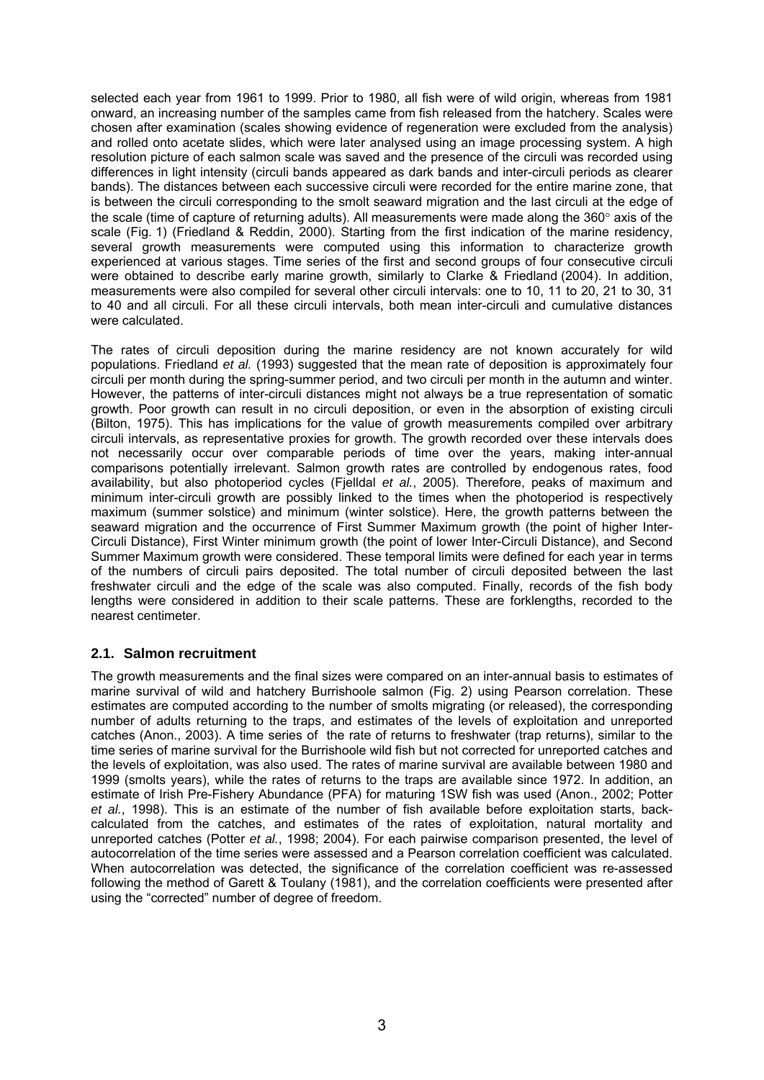selected each year from 1961 to 1999. Prior to 1980, all fish were of wild origin, whereas from 1981 onward, an increasing number of the samples came from fish released from the hatchery. Scales were chosen after examination (scales showing evidence of regeneration were excluded from the analysis) and rolled onto acetate slides, which were later analysed using an image processing system. A high resolution picture of each salmon scale was saved and the presence of the circuli was recorded using differences in light intensity (circuli bands appeared as dark bands and inter-circuli periods as clearer bands). The distances between each successive circuli were recorded for the entire marine zone, that is between the circuli corresponding to the smolt seaward migration and the last circuli at the edge of the scale (time of capture of returning adults). All measurements were made along the 360° axis of the scale (Fig. 1) (Friedland & Reddin, 2000). Starting from the first indication of the marine residency, several growth measurements were computed using this information to characterize growth experienced at various stages. Time series of the first and second groups of four consecutive circuli were obtained to describe early marine growth, similarly to Clarke & Friedland (2004). In addition, measurements were also compiled for several other circuli intervals: one to 10, 11 to 20, 21 to 30, 31 to 40 and all circuli. For all these circuli intervals, both mean inter-circuli and cumulative distances were calculated.

The rates of circuli deposition during the marine residency are not known accurately for wild populations. Friedland *et al.* (1993) suggested that the mean rate of deposition is approximately four circuli per month during the spring-summer period, and two circuli per month in the autumn and winter. However, the patterns of inter-circuli distances might not always be a true representation of somatic growth. Poor growth can result in no circuli deposition, or even in the absorption of existing circuli (Bilton, 1975). This has implications for the value of growth measurements compiled over arbitrary circuli intervals, as representative proxies for growth. The growth recorded over these intervals does not necessarily occur over comparable periods of time over the years, making inter-annual comparisons potentially irrelevant. Salmon growth rates are controlled by endogenous rates, food availability, but also photoperiod cycles (Fjelldal *et al.*, 2005). Therefore, peaks of maximum and minimum inter-circuli growth are possibly linked to the times when the photoperiod is respectively maximum (summer solstice) and minimum (winter solstice). Here, the growth patterns between the seaward migration and the occurrence of First Summer Maximum growth (the point of higher Inter-Circuli Distance), First Winter minimum growth (the point of lower Inter-Circuli Distance), and Second Summer Maximum growth were considered. These temporal limits were defined for each year in terms of the numbers of circuli pairs deposited. The total number of circuli deposited between the last freshwater circuli and the edge of the scale was also computed. Finally, records of the fish body lengths were considered in addition to their scale patterns. These are forklengths, recorded to the nearest centimeter.

### **2.1. Salmon recruitment**

The growth measurements and the final sizes were compared on an inter-annual basis to estimates of marine survival of wild and hatchery Burrishoole salmon (Fig. 2) using Pearson correlation. These estimates are computed according to the number of smolts migrating (or released), the corresponding number of adults returning to the traps, and estimates of the levels of exploitation and unreported catches (Anon., 2003). A time series of the rate of returns to freshwater (trap returns), similar to the time series of marine survival for the Burrishoole wild fish but not corrected for unreported catches and the levels of exploitation, was also used. The rates of marine survival are available between 1980 and 1999 (smolts years), while the rates of returns to the traps are available since 1972. In addition, an estimate of Irish Pre-Fishery Abundance (PFA) for maturing 1SW fish was used (Anon., 2002; Potter *et al.*, 1998). This is an estimate of the number of fish available before exploitation starts, backcalculated from the catches, and estimates of the rates of exploitation, natural mortality and unreported catches (Potter *et al.*, 1998; 2004). For each pairwise comparison presented, the level of autocorrelation of the time series were assessed and a Pearson correlation coefficient was calculated. When autocorrelation was detected, the significance of the correlation coefficient was re-assessed following the method of Garett & Toulany (1981), and the correlation coefficients were presented after using the "corrected" number of degree of freedom.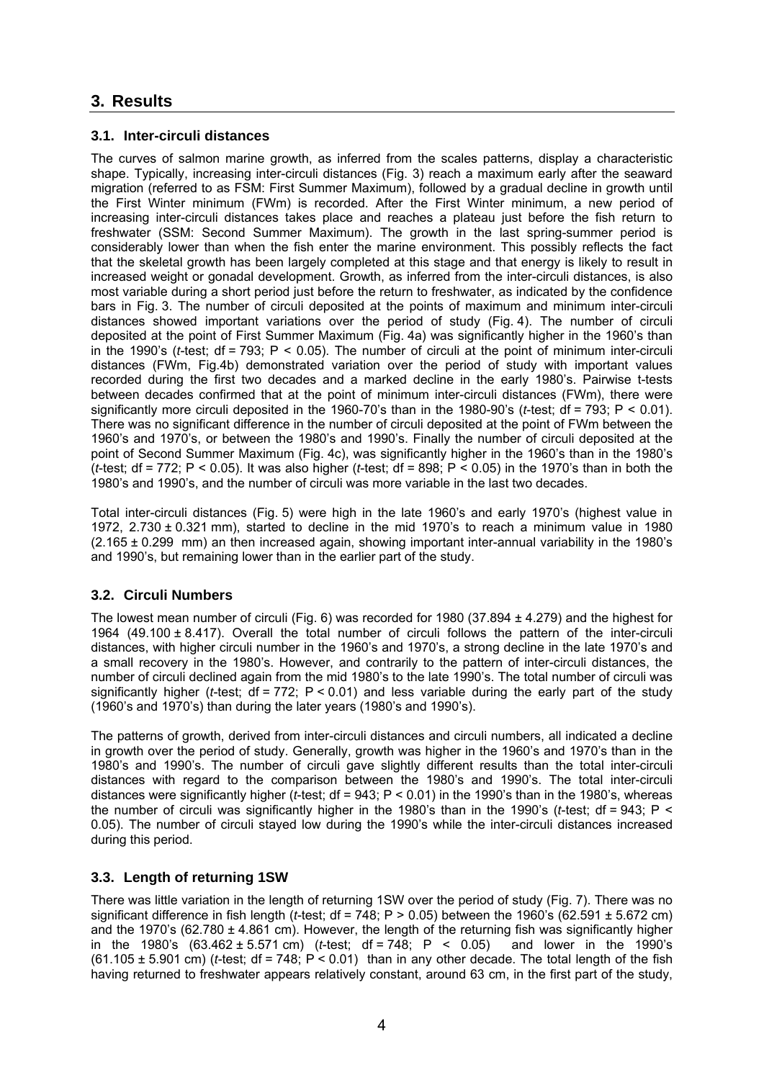# **3. Results**

### **3.1. Inter-circuli distances**

The curves of salmon marine growth, as inferred from the scales patterns, display a characteristic shape. Typically, increasing inter-circuli distances (Fig. 3) reach a maximum early after the seaward migration (referred to as FSM: First Summer Maximum), followed by a gradual decline in growth until the First Winter minimum (FWm) is recorded. After the First Winter minimum, a new period of increasing inter-circuli distances takes place and reaches a plateau just before the fish return to freshwater (SSM: Second Summer Maximum). The growth in the last spring-summer period is considerably lower than when the fish enter the marine environment. This possibly reflects the fact that the skeletal growth has been largely completed at this stage and that energy is likely to result in increased weight or gonadal development. Growth, as inferred from the inter-circuli distances, is also most variable during a short period just before the return to freshwater, as indicated by the confidence bars in Fig. 3. The number of circuli deposited at the points of maximum and minimum inter-circuli distances showed important variations over the period of study (Fig. 4). The number of circuli deposited at the point of First Summer Maximum (Fig. 4a) was significantly higher in the 1960's than in the 1990's (*t*-test; df = 793; P < 0.05). The number of circuli at the point of minimum inter-circuli distances (FWm, Fig.4b) demonstrated variation over the period of study with important values recorded during the first two decades and a marked decline in the early 1980's. Pairwise t-tests between decades confirmed that at the point of minimum inter-circuli distances (FWm), there were significantly more circuli deposited in the 1960-70's than in the 1980-90's (*t*-test; df = 793; P < 0.01). There was no significant difference in the number of circuli deposited at the point of FWm between the 1960's and 1970's, or between the 1980's and 1990's. Finally the number of circuli deposited at the point of Second Summer Maximum (Fig. 4c), was significantly higher in the 1960's than in the 1980's (*t*-test; df = 772; P < 0.05). It was also higher (*t*-test; df = 898; P < 0.05) in the 1970's than in both the 1980's and 1990's, and the number of circuli was more variable in the last two decades.

Total inter-circuli distances (Fig. 5) were high in the late 1960's and early 1970's (highest value in 1972, 2.730 ± 0.321 mm), started to decline in the mid 1970's to reach a minimum value in 1980  $(2.165 \pm 0.299 \, \text{mm})$  an then increased again, showing important inter-annual variability in the 1980's and 1990's, but remaining lower than in the earlier part of the study.

### **3.2. Circuli Numbers**

The lowest mean number of circuli (Fig. 6) was recorded for 1980 (37.894 ± 4.279) and the highest for 1964 (49.100 ± 8.417). Overall the total number of circuli follows the pattern of the inter-circuli distances, with higher circuli number in the 1960's and 1970's, a strong decline in the late 1970's and a small recovery in the 1980's. However, and contrarily to the pattern of inter-circuli distances, the number of circuli declined again from the mid 1980's to the late 1990's. The total number of circuli was significantly higher (*t*-test; df = 772; P < 0.01) and less variable during the early part of the study (1960's and 1970's) than during the later years (1980's and 1990's).

The patterns of growth, derived from inter-circuli distances and circuli numbers, all indicated a decline in growth over the period of study. Generally, growth was higher in the 1960's and 1970's than in the 1980's and 1990's. The number of circuli gave slightly different results than the total inter-circuli distances with regard to the comparison between the 1980's and 1990's. The total inter-circuli distances were significantly higher (*t*-test; df = 943; P < 0.01) in the 1990's than in the 1980's, whereas the number of circuli was significantly higher in the 1980's than in the 1990's ( $t$ -test; df = 943; P < 0.05). The number of circuli stayed low during the 1990's while the inter-circuli distances increased during this period.

### **3.3. Length of returning 1SW**

There was little variation in the length of returning 1SW over the period of study (Fig. 7). There was no significant difference in fish length (*t*-test; df = 748; P > 0.05) between the 1960's (62.591 ± 5.672 cm) and the 1970's (62.780  $\pm$  4.861 cm). However, the length of the returning fish was significantly higher in the 1980's  $(63.462 \pm 5.571 \text{ cm})$  (*t*-test; df = 748; P < 0.05) and lower in the 1990's (61.105 ± 5.901 cm) (*t*-test; df = 748; P < 0.01) than in any other decade. The total length of the fish having returned to freshwater appears relatively constant, around 63 cm, in the first part of the study,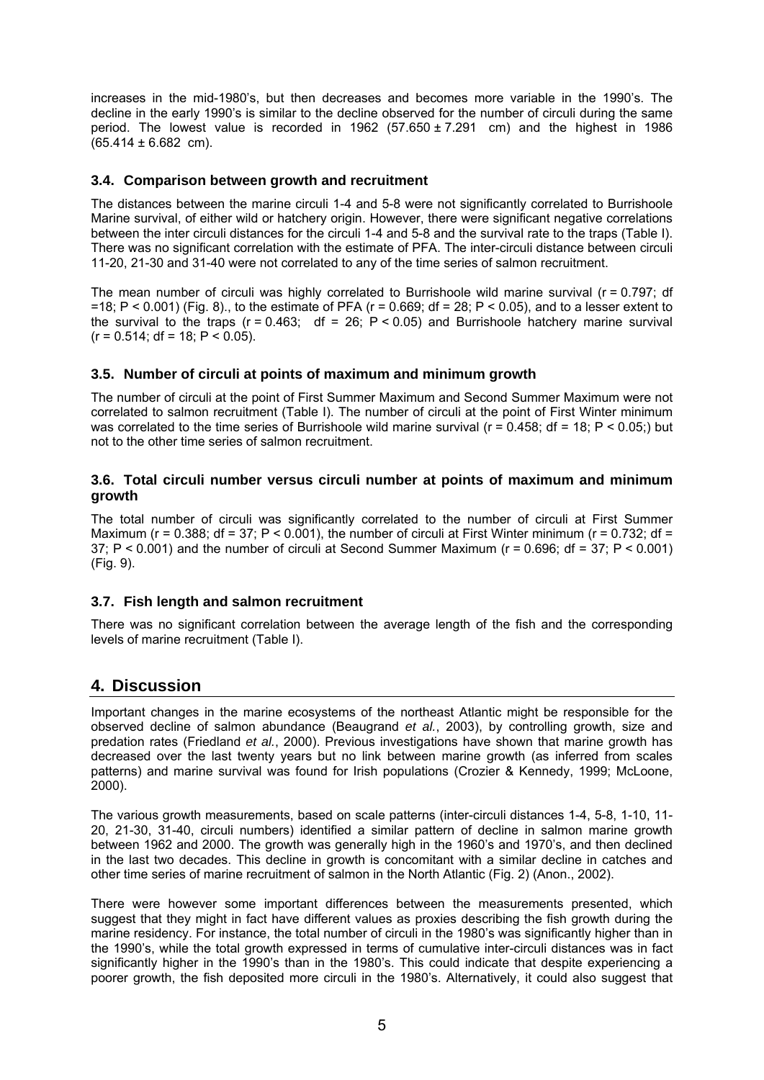increases in the mid-1980's, but then decreases and becomes more variable in the 1990's. The decline in the early 1990's is similar to the decline observed for the number of circuli during the same period. The lowest value is recorded in  $1962$  (57.650 ± 7.291 cm) and the highest in 1986  $(65.414 \pm 6.682 \text{ cm}).$ 

#### **3.4. Comparison between growth and recruitment**

The distances between the marine circuli 1-4 and 5-8 were not significantly correlated to Burrishoole Marine survival, of either wild or hatchery origin. However, there were significant negative correlations between the inter circuli distances for the circuli 1-4 and 5-8 and the survival rate to the traps (Table I). There was no significant correlation with the estimate of PFA. The inter-circuli distance between circuli 11-20, 21-30 and 31-40 were not correlated to any of the time series of salmon recruitment.

The mean number of circuli was highly correlated to Burrishoole wild marine survival (r = 0.797; df =18; P < 0.001) (Fig. 8), to the estimate of PFA ( $r = 0.669$ ; df = 28; P < 0.05), and to a lesser extent to the survival to the traps ( $r = 0.463$ ; df = 26;  $P < 0.05$ ) and Burrishoole hatchery marine survival  $(r = 0.514; df = 18; P < 0.05)$ .

#### **3.5. Number of circuli at points of maximum and minimum growth**

The number of circuli at the point of First Summer Maximum and Second Summer Maximum were not correlated to salmon recruitment (Table I). The number of circuli at the point of First Winter minimum was correlated to the time series of Burrishoole wild marine survival ( $r = 0.458$ ; df = 18; P < 0.05;) but not to the other time series of salmon recruitment.

#### **3.6. Total circuli number versus circuli number at points of maximum and minimum growth**

The total number of circuli was significantly correlated to the number of circuli at First Summer Maximum ( $r = 0.388$ ; df = 37; P < 0.001), the number of circuli at First Winter minimum ( $r = 0.732$ ; df = 37; P < 0.001) and the number of circuli at Second Summer Maximum (r = 0.696; df = 37; P < 0.001) (Fig. 9).

### **3.7. Fish length and salmon recruitment**

There was no significant correlation between the average length of the fish and the corresponding levels of marine recruitment (Table I).

### **4. Discussion**

Important changes in the marine ecosystems of the northeast Atlantic might be responsible for the observed decline of salmon abundance (Beaugrand *et al.*, 2003), by controlling growth, size and predation rates (Friedland *et al.*, 2000). Previous investigations have shown that marine growth has decreased over the last twenty years but no link between marine growth (as inferred from scales patterns) and marine survival was found for Irish populations (Crozier & Kennedy, 1999; McLoone, 2000).

The various growth measurements, based on scale patterns (inter-circuli distances 1-4, 5-8, 1-10, 11- 20, 21-30, 31-40, circuli numbers) identified a similar pattern of decline in salmon marine growth between 1962 and 2000. The growth was generally high in the 1960's and 1970's, and then declined in the last two decades. This decline in growth is concomitant with a similar decline in catches and other time series of marine recruitment of salmon in the North Atlantic (Fig. 2) (Anon., 2002).

There were however some important differences between the measurements presented, which suggest that they might in fact have different values as proxies describing the fish growth during the marine residency. For instance, the total number of circuli in the 1980's was significantly higher than in the 1990's, while the total growth expressed in terms of cumulative inter-circuli distances was in fact significantly higher in the 1990's than in the 1980's. This could indicate that despite experiencing a poorer growth, the fish deposited more circuli in the 1980's. Alternatively, it could also suggest that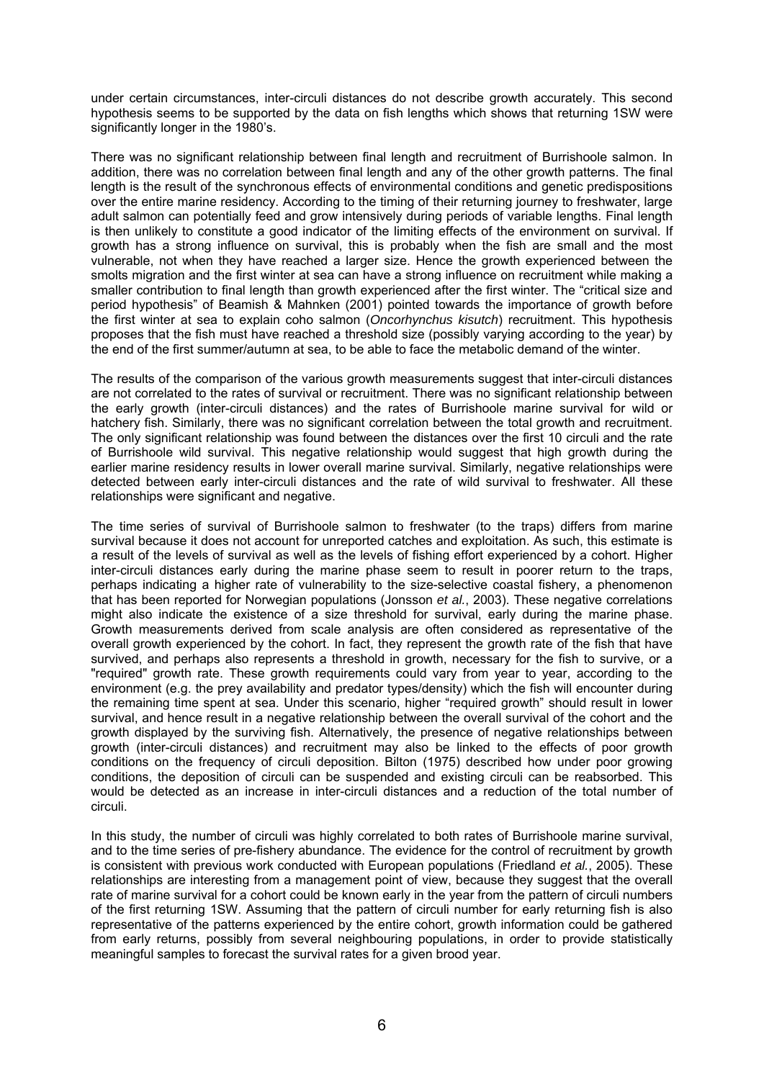under certain circumstances, inter-circuli distances do not describe growth accurately. This second hypothesis seems to be supported by the data on fish lengths which shows that returning 1SW were significantly longer in the 1980's.

There was no significant relationship between final length and recruitment of Burrishoole salmon. In addition, there was no correlation between final length and any of the other growth patterns. The final length is the result of the synchronous effects of environmental conditions and genetic predispositions over the entire marine residency. According to the timing of their returning journey to freshwater, large adult salmon can potentially feed and grow intensively during periods of variable lengths. Final length is then unlikely to constitute a good indicator of the limiting effects of the environment on survival. If growth has a strong influence on survival, this is probably when the fish are small and the most vulnerable, not when they have reached a larger size. Hence the growth experienced between the smolts migration and the first winter at sea can have a strong influence on recruitment while making a smaller contribution to final length than growth experienced after the first winter. The "critical size and period hypothesis" of Beamish & Mahnken (2001) pointed towards the importance of growth before the first winter at sea to explain coho salmon (*Oncorhynchus kisutch*) recruitment. This hypothesis proposes that the fish must have reached a threshold size (possibly varying according to the year) by the end of the first summer/autumn at sea, to be able to face the metabolic demand of the winter.

The results of the comparison of the various growth measurements suggest that inter-circuli distances are not correlated to the rates of survival or recruitment. There was no significant relationship between the early growth (inter-circuli distances) and the rates of Burrishoole marine survival for wild or hatchery fish. Similarly, there was no significant correlation between the total growth and recruitment. The only significant relationship was found between the distances over the first 10 circuli and the rate of Burrishoole wild survival. This negative relationship would suggest that high growth during the earlier marine residency results in lower overall marine survival. Similarly, negative relationships were detected between early inter-circuli distances and the rate of wild survival to freshwater. All these relationships were significant and negative.

The time series of survival of Burrishoole salmon to freshwater (to the traps) differs from marine survival because it does not account for unreported catches and exploitation. As such, this estimate is a result of the levels of survival as well as the levels of fishing effort experienced by a cohort. Higher inter-circuli distances early during the marine phase seem to result in poorer return to the traps, perhaps indicating a higher rate of vulnerability to the size-selective coastal fishery, a phenomenon that has been reported for Norwegian populations (Jonsson *et al.*, 2003). These negative correlations might also indicate the existence of a size threshold for survival, early during the marine phase. Growth measurements derived from scale analysis are often considered as representative of the overall growth experienced by the cohort. In fact, they represent the growth rate of the fish that have survived, and perhaps also represents a threshold in growth, necessary for the fish to survive, or a "required" growth rate. These growth requirements could vary from year to year, according to the environment (e.g. the prey availability and predator types/density) which the fish will encounter during the remaining time spent at sea. Under this scenario, higher "required growth" should result in lower survival, and hence result in a negative relationship between the overall survival of the cohort and the growth displayed by the surviving fish. Alternatively, the presence of negative relationships between growth (inter-circuli distances) and recruitment may also be linked to the effects of poor growth conditions on the frequency of circuli deposition. Bilton (1975) described how under poor growing conditions, the deposition of circuli can be suspended and existing circuli can be reabsorbed. This would be detected as an increase in inter-circuli distances and a reduction of the total number of circuli.

In this study, the number of circuli was highly correlated to both rates of Burrishoole marine survival, and to the time series of pre-fishery abundance. The evidence for the control of recruitment by growth is consistent with previous work conducted with European populations (Friedland *et al.*, 2005). These relationships are interesting from a management point of view, because they suggest that the overall rate of marine survival for a cohort could be known early in the year from the pattern of circuli numbers of the first returning 1SW. Assuming that the pattern of circuli number for early returning fish is also representative of the patterns experienced by the entire cohort, growth information could be gathered from early returns, possibly from several neighbouring populations, in order to provide statistically meaningful samples to forecast the survival rates for a given brood year.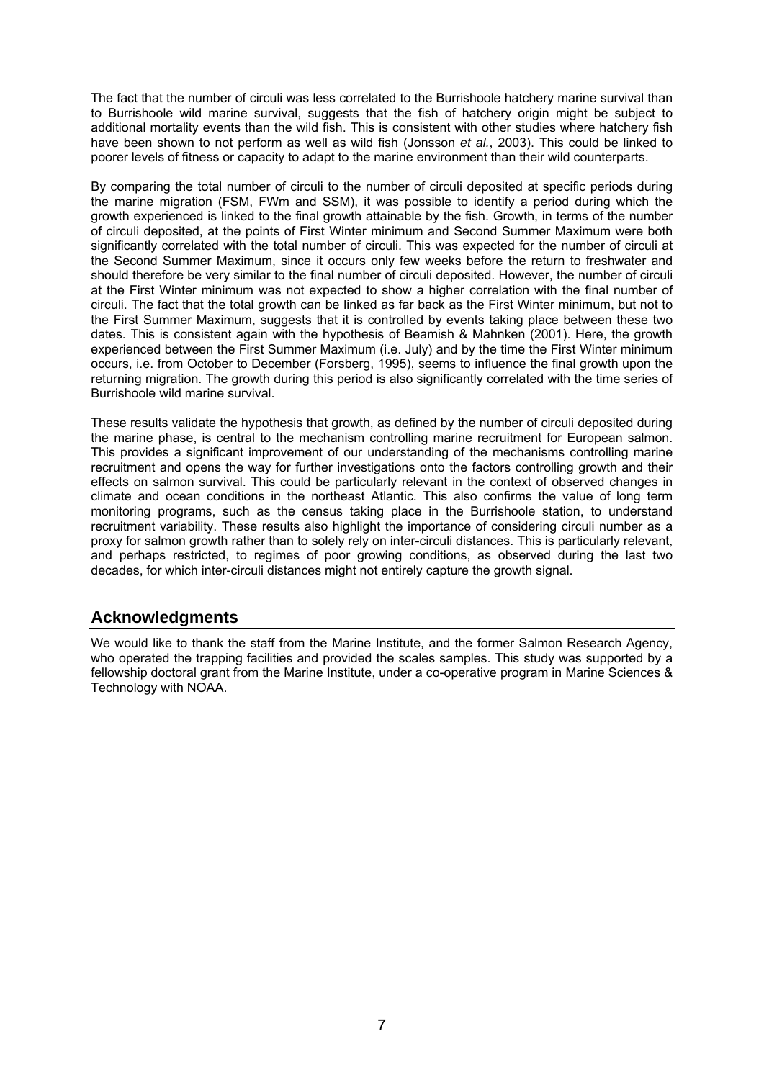The fact that the number of circuli was less correlated to the Burrishoole hatchery marine survival than to Burrishoole wild marine survival, suggests that the fish of hatchery origin might be subject to additional mortality events than the wild fish. This is consistent with other studies where hatchery fish have been shown to not perform as well as wild fish (Jonsson *et al.*, 2003). This could be linked to poorer levels of fitness or capacity to adapt to the marine environment than their wild counterparts.

By comparing the total number of circuli to the number of circuli deposited at specific periods during the marine migration (FSM, FWm and SSM), it was possible to identify a period during which the growth experienced is linked to the final growth attainable by the fish. Growth, in terms of the number of circuli deposited, at the points of First Winter minimum and Second Summer Maximum were both significantly correlated with the total number of circuli. This was expected for the number of circuli at the Second Summer Maximum, since it occurs only few weeks before the return to freshwater and should therefore be very similar to the final number of circuli deposited. However, the number of circuli at the First Winter minimum was not expected to show a higher correlation with the final number of circuli. The fact that the total growth can be linked as far back as the First Winter minimum, but not to the First Summer Maximum, suggests that it is controlled by events taking place between these two dates. This is consistent again with the hypothesis of Beamish & Mahnken (2001). Here, the growth experienced between the First Summer Maximum (i.e. July) and by the time the First Winter minimum occurs, i.e. from October to December (Forsberg, 1995), seems to influence the final growth upon the returning migration. The growth during this period is also significantly correlated with the time series of Burrishoole wild marine survival.

These results validate the hypothesis that growth, as defined by the number of circuli deposited during the marine phase, is central to the mechanism controlling marine recruitment for European salmon. This provides a significant improvement of our understanding of the mechanisms controlling marine recruitment and opens the way for further investigations onto the factors controlling growth and their effects on salmon survival. This could be particularly relevant in the context of observed changes in climate and ocean conditions in the northeast Atlantic. This also confirms the value of long term monitoring programs, such as the census taking place in the Burrishoole station, to understand recruitment variability. These results also highlight the importance of considering circuli number as a proxy for salmon growth rather than to solely rely on inter-circuli distances. This is particularly relevant, and perhaps restricted, to regimes of poor growing conditions, as observed during the last two decades, for which inter-circuli distances might not entirely capture the growth signal.

### **Acknowledgments**

We would like to thank the staff from the Marine Institute, and the former Salmon Research Agency, who operated the trapping facilities and provided the scales samples. This study was supported by a fellowship doctoral grant from the Marine Institute, under a co-operative program in Marine Sciences & Technology with NOAA.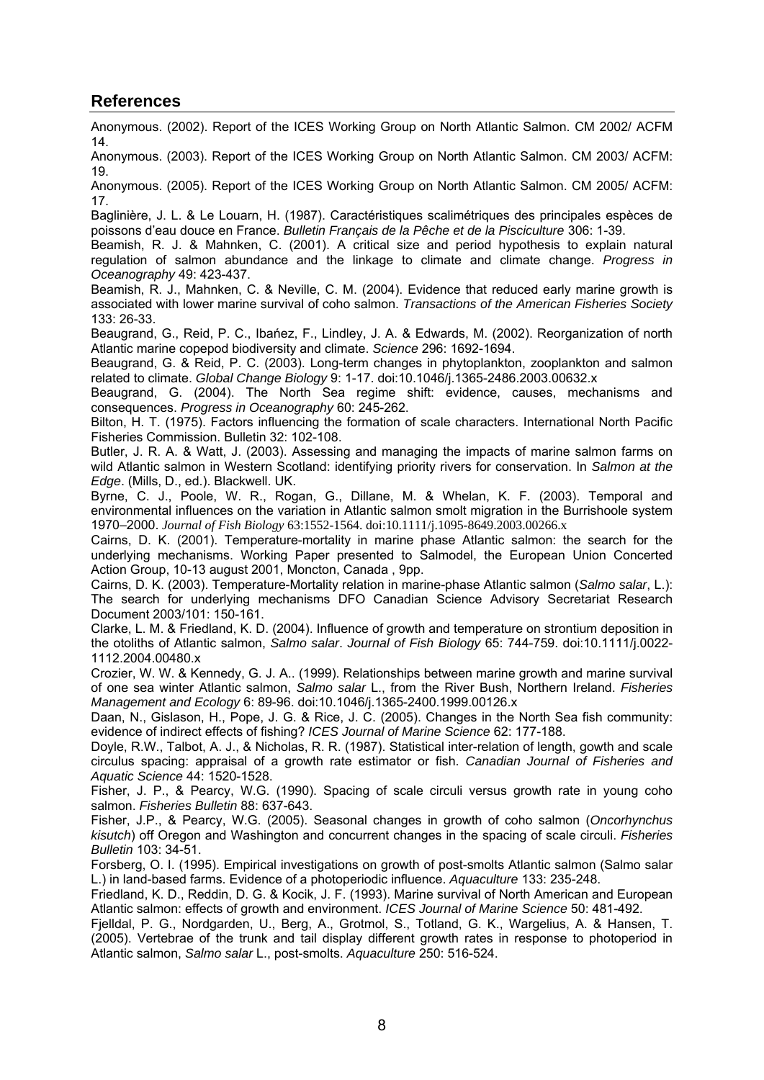## **References**

Anonymous. (2002). Report of the ICES Working Group on North Atlantic Salmon. CM 2002/ ACFM 14.

Anonymous. (2003). Report of the ICES Working Group on North Atlantic Salmon. CM 2003/ ACFM: 19.

Anonymous. (2005). Report of the ICES Working Group on North Atlantic Salmon. CM 2005/ ACFM: 17.

Baglinière, J. L. & Le Louarn, H. (1987). Caractéristiques scalimétriques des principales espèces de poissons d'eau douce en France. *Bulletin Français de la Pêche et de la Pisciculture* 306: 1-39.

Beamish, R. J. & Mahnken, C. (2001). A critical size and period hypothesis to explain natural regulation of salmon abundance and the linkage to climate and climate change. *Progress in Oceanography* 49: 423-437.

Beamish, R. J., Mahnken, C. & Neville, C. M. (2004). Evidence that reduced early marine growth is associated with lower marine survival of coho salmon. *Transactions of the American Fisheries Society* 133: 26-33.

Beaugrand, G., Reid, P. C., Ibańez, F., Lindley, J. A. & Edwards, M. (2002). Reorganization of north Atlantic marine copepod biodiversity and climate. *Science* 296: 1692-1694.

Beaugrand, G. & Reid, P. C. (2003). Long-term changes in phytoplankton, zooplankton and salmon related to climate. *Global Change Biology* 9: 1-17. doi:10.1046/j.1365-2486.2003.00632.x

Beaugrand, G. (2004). The North Sea regime shift: evidence, causes, mechanisms and consequences. *Progress in Oceanography* 60: 245-262.

Bilton, H. T. (1975). Factors influencing the formation of scale characters. International North Pacific Fisheries Commission. Bulletin 32: 102-108.

Butler, J. R. A. & Watt, J. (2003). Assessing and managing the impacts of marine salmon farms on wild Atlantic salmon in Western Scotland: identifying priority rivers for conservation. In *Salmon at the Edge*. (Mills, D., ed.). Blackwell. UK.

Byrne, C. J., Poole, W. R., Rogan, G., Dillane, M. & Whelan, K. F. (2003). Temporal and environmental influences on the variation in Atlantic salmon smolt migration in the Burrishoole system 1970–2000. *Journal of Fish Biology* 63:1552-1564. doi:10.1111/j.1095-8649.2003.00266.x

Cairns, D. K. (2001). Temperature-mortality in marine phase Atlantic salmon: the search for the underlying mechanisms. Working Paper presented to Salmodel, the European Union Concerted Action Group, 10-13 august 2001, Moncton, Canada , 9pp.

Cairns, D. K. (2003). Temperature-Mortality relation in marine-phase Atlantic salmon (*Salmo salar*, L.): The search for underlying mechanisms DFO Canadian Science Advisory Secretariat Research Document 2003/101: 150-161.

Clarke, L. M. & Friedland, K. D. (2004). Influence of growth and temperature on strontium deposition in the otoliths of Atlantic salmon, *Salmo salar*. *Journal of Fish Biology* 65: 744-759. doi:10.1111/j.0022- 1112.2004.00480.x

Crozier, W. W. & Kennedy, G. J. A.. (1999). Relationships between marine growth and marine survival of one sea winter Atlantic salmon, *Salmo salar* L., from the River Bush, Northern Ireland. *Fisheries Management and Ecology* 6: 89-96. doi:10.1046/j.1365-2400.1999.00126.x

Daan, N., Gislason, H., Pope, J. G. & Rice, J. C. (2005). Changes in the North Sea fish community: evidence of indirect effects of fishing? *ICES Journal of Marine Science* 62: 177-188.

Doyle, R.W., Talbot, A. J., & Nicholas, R. R. (1987). Statistical inter-relation of length, gowth and scale circulus spacing: appraisal of a growth rate estimator or fish. *Canadian Journal of Fisheries and Aquatic Science* 44: 1520-1528.

Fisher, J. P., & Pearcy, W.G. (1990). Spacing of scale circuli versus growth rate in young coho salmon. *Fisheries Bulletin* 88: 637-643.

Fisher, J.P., & Pearcy, W.G. (2005). Seasonal changes in growth of coho salmon (*Oncorhynchus kisutch*) off Oregon and Washington and concurrent changes in the spacing of scale circuli. *Fisheries Bulletin* 103: 34-51.

Forsberg, O. I. (1995). Empirical investigations on growth of post-smolts Atlantic salmon (Salmo salar L.) in land-based farms. Evidence of a photoperiodic influence. *Aquaculture* 133: 235-248.

Friedland, K. D., Reddin, D. G. & Kocik, J. F. (1993). Marine survival of North American and European Atlantic salmon: effects of growth and environment. *ICES Journal of Marine Science* 50: 481-492.

Fjelldal, P. G., Nordgarden, U., Berg, A., Grotmol, S., Totland, G. K., Wargelius, A. & Hansen, T. (2005). Vertebrae of the trunk and tail display different growth rates in response to photoperiod in Atlantic salmon, *Salmo salar* L., post-smolts. *Aquaculture* 250: 516-524.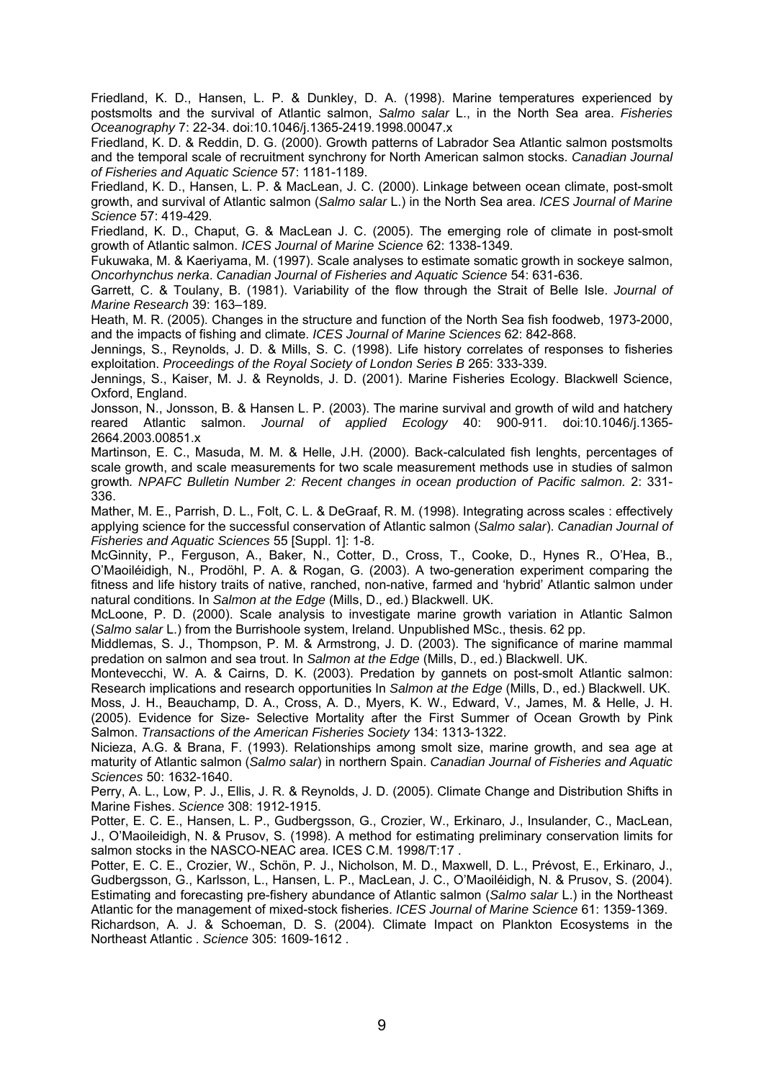Friedland, K. D., Hansen, L. P. & Dunkley, D. A. (1998). Marine temperatures experienced by postsmolts and the survival of Atlantic salmon, *Salmo salar* L., in the North Sea area. *Fisheries Oceanography* 7: 22-34. doi:10.1046/j.1365-2419.1998.00047.x

Friedland, K. D. & Reddin, D. G. (2000). Growth patterns of Labrador Sea Atlantic salmon postsmolts and the temporal scale of recruitment synchrony for North American salmon stocks. *Canadian Journal of Fisheries and Aquatic Science* 57: 1181-1189.

Friedland, K. D., Hansen, L. P. & MacLean, J. C. (2000). Linkage between ocean climate, post-smolt growth, and survival of Atlantic salmon (*Salmo salar* L.) in the North Sea area. *ICES Journal of Marine Science* 57: 419-429.

Friedland, K. D., Chaput, G. & MacLean J. C. (2005). The emerging role of climate in post-smolt growth of Atlantic salmon. *ICES Journal of Marine Science* 62: 1338-1349.

Fukuwaka, M. & Kaeriyama, M. (1997). Scale analyses to estimate somatic growth in sockeye salmon, *Oncorhynchus nerka*. *Canadian Journal of Fisheries and Aquatic Science* 54: 631-636.

Garrett, C. & Toulany, B. (1981). Variability of the flow through the Strait of Belle Isle. *Journal of Marine Research* 39: 163–189.

Heath, M. R. (2005). Changes in the structure and function of the North Sea fish foodweb, 1973-2000, and the impacts of fishing and climate. *ICES Journal of Marine Sciences* 62: 842-868.

Jennings, S., Reynolds, J. D. & Mills, S. C. (1998). Life history correlates of responses to fisheries exploitation. *Proceedings of the Royal Society of London Series B* 265: 333-339.

Jennings, S., Kaiser, M. J. & Reynolds, J. D. (2001). Marine Fisheries Ecology. Blackwell Science, Oxford, England.

Jonsson, N., Jonsson, B. & Hansen L. P. (2003). The marine survival and growth of wild and hatchery reared Atlantic salmon. *Journal of applied Ecology* 40: 900-911. doi:10.1046/j.1365- 2664.2003.00851.x

Martinson, E. C., Masuda, M. M. & Helle, J.H. (2000). Back-calculated fish lenghts, percentages of scale growth, and scale measurements for two scale measurement methods use in studies of salmon growth*. NPAFC Bulletin Number 2: Recent changes in ocean production of Pacific salmon.* 2: 331- 336.

Mather, M. E., Parrish, D. L., Folt, C. L. & DeGraaf, R. M. (1998). Integrating across scales : effectively applying science for the successful conservation of Atlantic salmon (*Salmo salar*). *Canadian Journal of Fisheries and Aquatic Sciences* 55 [Suppl. 1]: 1-8.

McGinnity, P., Ferguson, A., Baker, N., Cotter, D., Cross, T., Cooke, D., Hynes R., O'Hea, B., O'Maoiléidigh, N., Prodöhl, P. A. & Rogan, G. (2003). A two-generation experiment comparing the fitness and life history traits of native, ranched, non-native, farmed and 'hybrid' Atlantic salmon under natural conditions. In *Salmon at the Edge* (Mills, D., ed.) Blackwell. UK.

McLoone, P. D. (2000). Scale analysis to investigate marine growth variation in Atlantic Salmon (*Salmo salar* L.) from the Burrishoole system, Ireland. Unpublished MSc., thesis. 62 pp.

Middlemas, S. J., Thompson, P. M. & Armstrong, J. D. (2003). The significance of marine mammal predation on salmon and sea trout. In *Salmon at the Edge* (Mills, D., ed.) Blackwell. UK.

Montevecchi, W. A. & Cairns, D. K. (2003). Predation by gannets on post-smolt Atlantic salmon: Research implications and research opportunities In *Salmon at the Edge* (Mills, D., ed.) Blackwell. UK.

Moss, J. H., Beauchamp, D. A., Cross, A. D., Myers, K. W., Edward, V., James, M. & Helle, J. H. (2005). Evidence for Size- Selective Mortality after the First Summer of Ocean Growth by Pink Salmon. *Transactions of the American Fisheries Society* 134: 1313-1322.

Nicieza, A.G. & Brana, F. (1993). Relationships among smolt size, marine growth, and sea age at maturity of Atlantic salmon (*Salmo salar*) in northern Spain. *Canadian Journal of Fisheries and Aquatic Sciences* 50: 1632-1640.

Perry, A. L., Low, P. J., Ellis, J. R. & Reynolds, J. D. (2005). Climate Change and Distribution Shifts in Marine Fishes. *Science* 308: 1912-1915.

Potter, E. C. E., Hansen, L. P., Gudbergsson, G., Crozier, W., Erkinaro, J., Insulander, C., MacLean, J., O'Maoileidigh, N. & Prusov, S. (1998). A method for estimating preliminary conservation limits for salmon stocks in the NASCO-NEAC area. ICES C.M. 1998/T:17 .

Potter, E. C. E., Crozier, W., Schön, P. J., Nicholson, M. D., Maxwell, D. L., Prévost, E., Erkinaro, J., Gudbergsson, G., Karlsson, L., Hansen, L. P., MacLean, J. C., O'Maoiléidigh, N. & Prusov, S. (2004). Estimating and forecasting pre-fishery abundance of Atlantic salmon (*Salmo salar* L.) in the Northeast Atlantic for the management of mixed-stock fisheries. *ICES Journal of Marine Science* 61: 1359-1369.

Richardson, A. J. & Schoeman, D. S. (2004). Climate Impact on Plankton Ecosystems in the Northeast Atlantic . *Science* 305: 1609-1612 .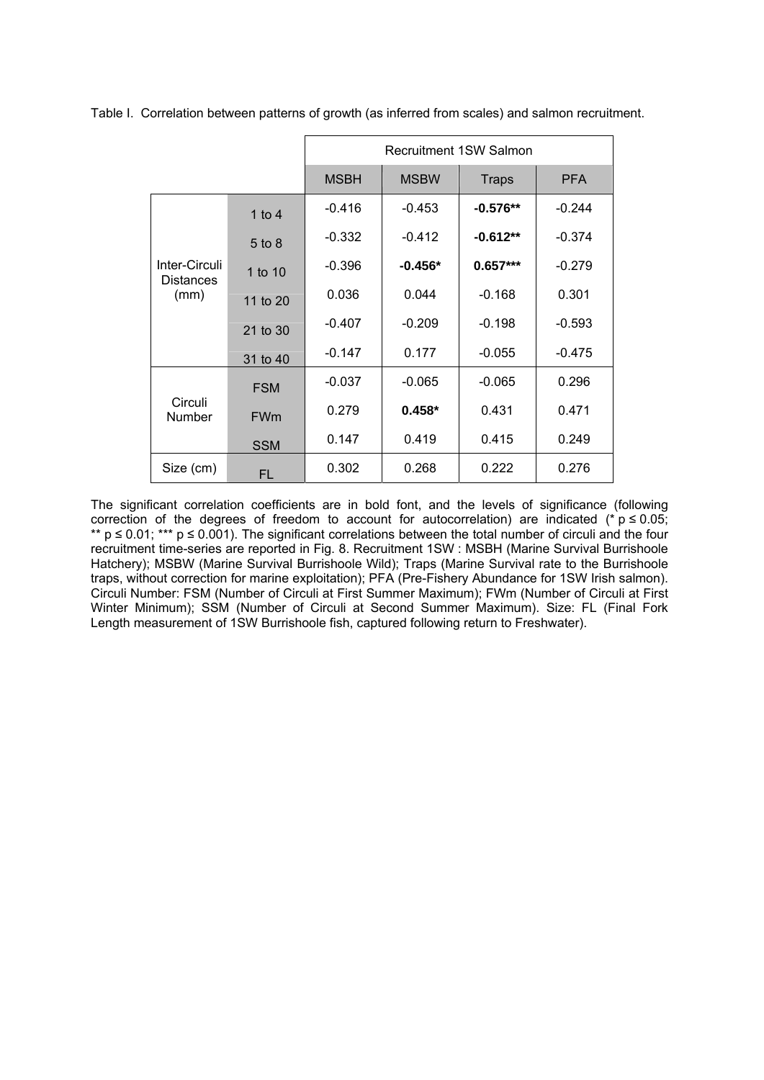|                                           |            | <b>Recruitment 1SW Salmon</b> |             |              |            |
|-------------------------------------------|------------|-------------------------------|-------------|--------------|------------|
|                                           |            | <b>MSBH</b>                   | <b>MSBW</b> | <b>Traps</b> | <b>PFA</b> |
| Inter-Circuli<br><b>Distances</b><br>(mm) | 1 to $4$   | $-0.416$                      | $-0.453$    | $-0.576**$   | $-0.244$   |
|                                           | $5$ to $8$ | $-0.332$                      | $-0.412$    | $-0.612**$   | $-0.374$   |
|                                           | 1 to 10    | $-0.396$                      | $-0.456*$   | $0.657***$   | $-0.279$   |
|                                           | 11 to 20   | 0.036                         | 0.044       | $-0.168$     | 0.301      |
|                                           | 21 to 30   | $-0.407$                      | $-0.209$    | $-0.198$     | $-0.593$   |
|                                           | 31 to 40   | $-0.147$                      | 0.177       | $-0.055$     | $-0.475$   |
| Circuli<br>Number                         | <b>FSM</b> | $-0.037$                      | $-0.065$    | $-0.065$     | 0.296      |
|                                           | <b>FWm</b> | 0.279                         | $0.458*$    | 0.431        | 0.471      |
|                                           | <b>SSM</b> | 0.147                         | 0.419       | 0.415        | 0.249      |
| Size (cm)                                 | FL         | 0.302                         | 0.268       | 0.222        | 0.276      |

Table I. Correlation between patterns of growth (as inferred from scales) and salmon recruitment.

The significant correlation coefficients are in bold font, and the levels of significance (following correction of the degrees of freedom to account for autocorrelation) are indicated (\*  $p \le 0.05$ ; \*\*  $p \le 0.01$ ; \*\*\*  $p \le 0.001$ ). The significant correlations between the total number of circuli and the four recruitment time-series are reported in Fig. 8. Recruitment 1SW : MSBH (Marine Survival Burrishoole Hatchery); MSBW (Marine Survival Burrishoole Wild); Traps (Marine Survival rate to the Burrishoole traps, without correction for marine exploitation); PFA (Pre-Fishery Abundance for 1SW Irish salmon). Circuli Number: FSM (Number of Circuli at First Summer Maximum); FWm (Number of Circuli at First Winter Minimum); SSM (Number of Circuli at Second Summer Maximum). Size: FL (Final Fork Length measurement of 1SW Burrishoole fish, captured following return to Freshwater).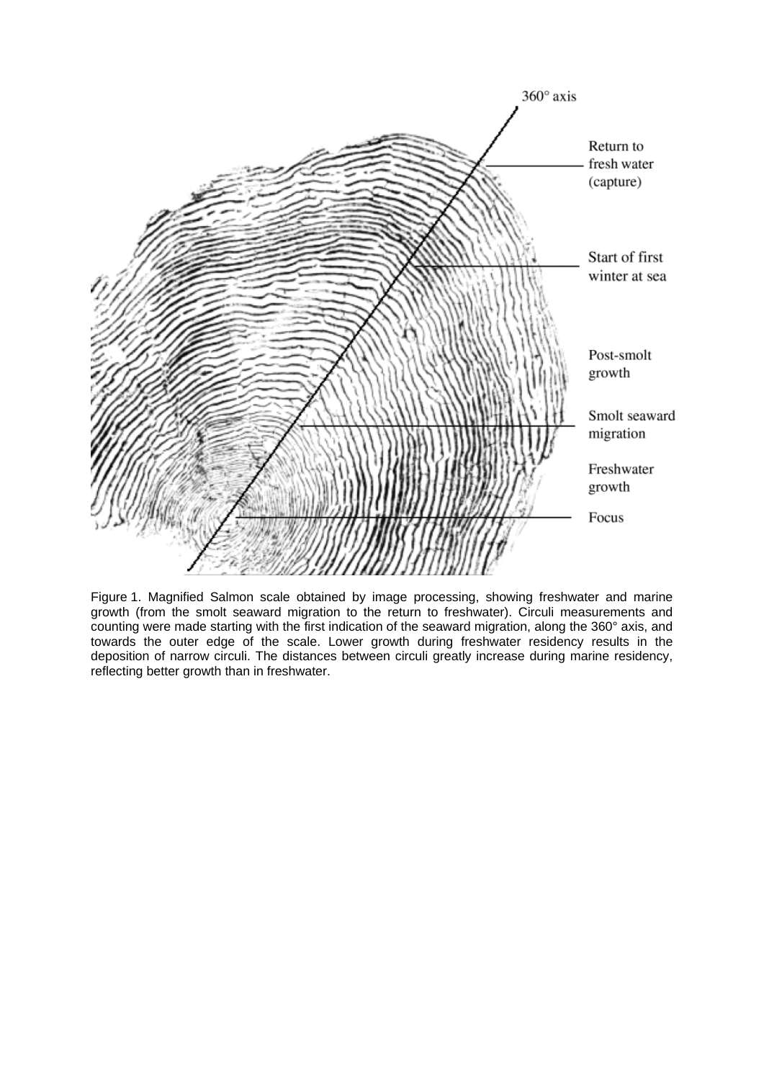

Figure 1. Magnified Salmon scale obtained by image processing, showing freshwater and marine growth (from the smolt seaward migration to the return to freshwater). Circuli measurements and counting were made starting with the first indication of the seaward migration, along the 360° axis, and towards the outer edge of the scale. Lower growth during freshwater residency results in the deposition of narrow circuli. The distances between circuli greatly increase during marine residency, reflecting better growth than in freshwater.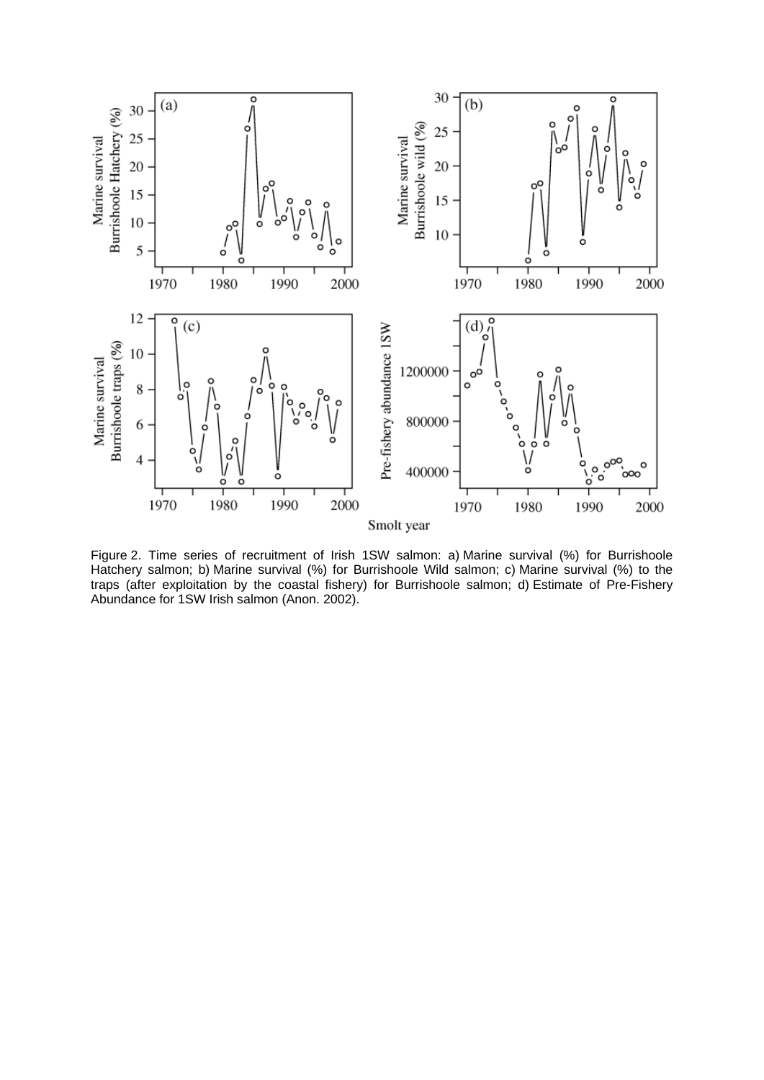

Figure 2. Time series of recruitment of Irish 1SW salmon: a) Marine survival (%) for Burrishoole Hatchery salmon; b) Marine survival (%) for Burrishoole Wild salmon; c) Marine survival (%) to the traps (after exploitation by the coastal fishery) for Burrishoole salmon; d) Estimate of Pre-Fishery Abundance for 1SW Irish salmon (Anon. 2002).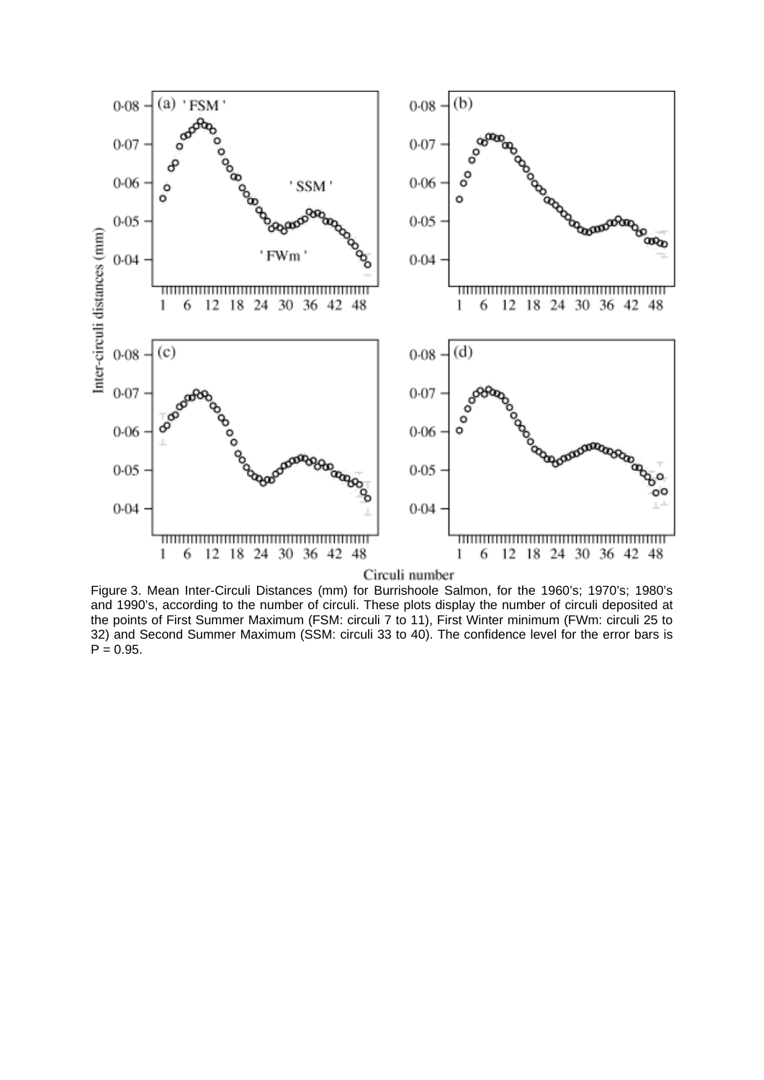

Figure 3. Mean Inter-Circuli Distances (mm) for Burrishoole Salmon, for the 1960's; 1970's; 1980's and 1990's, according to the number of circuli. These plots display the number of circuli deposited at the points of First Summer Maximum (FSM: circuli 7 to 11), First Winter minimum (FWm: circuli 25 to 32) and Second Summer Maximum (SSM: circuli 33 to 40). The confidence level for the error bars is  $P = 0.95$ .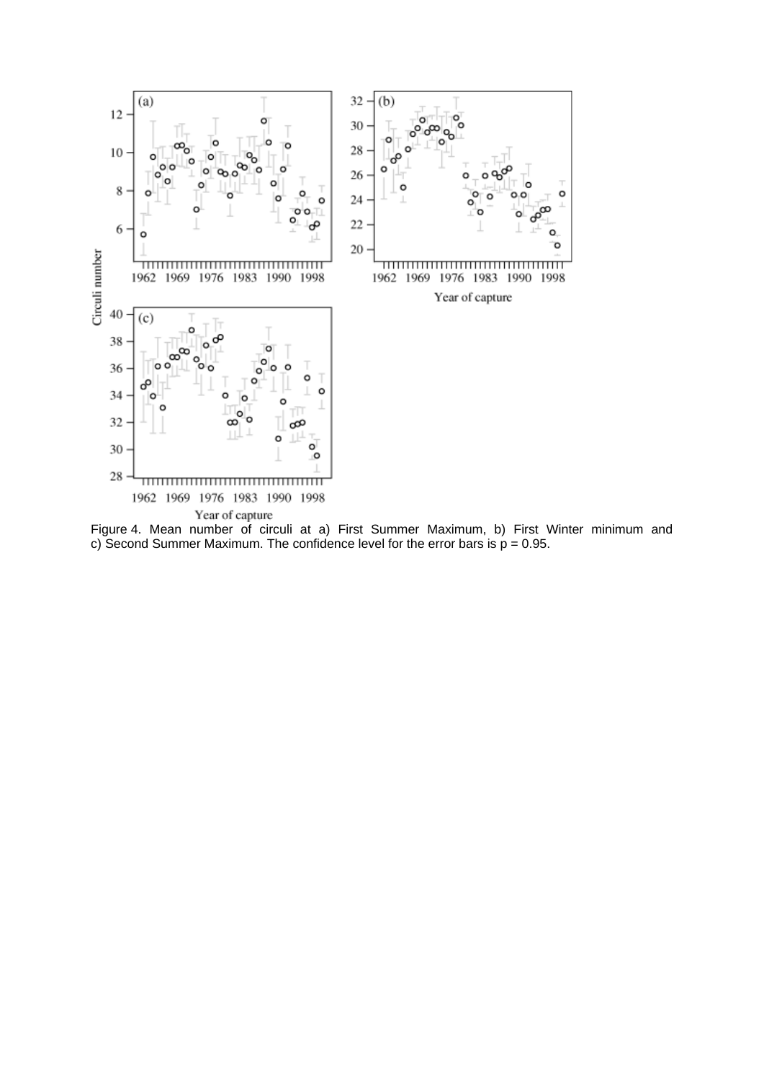

Figure 4. Mean number of circuli at a) First Summer Maximum, b) First Winter minimum and c) Second Summer Maximum. The confidence level for the error bars is  $p = 0.95$ .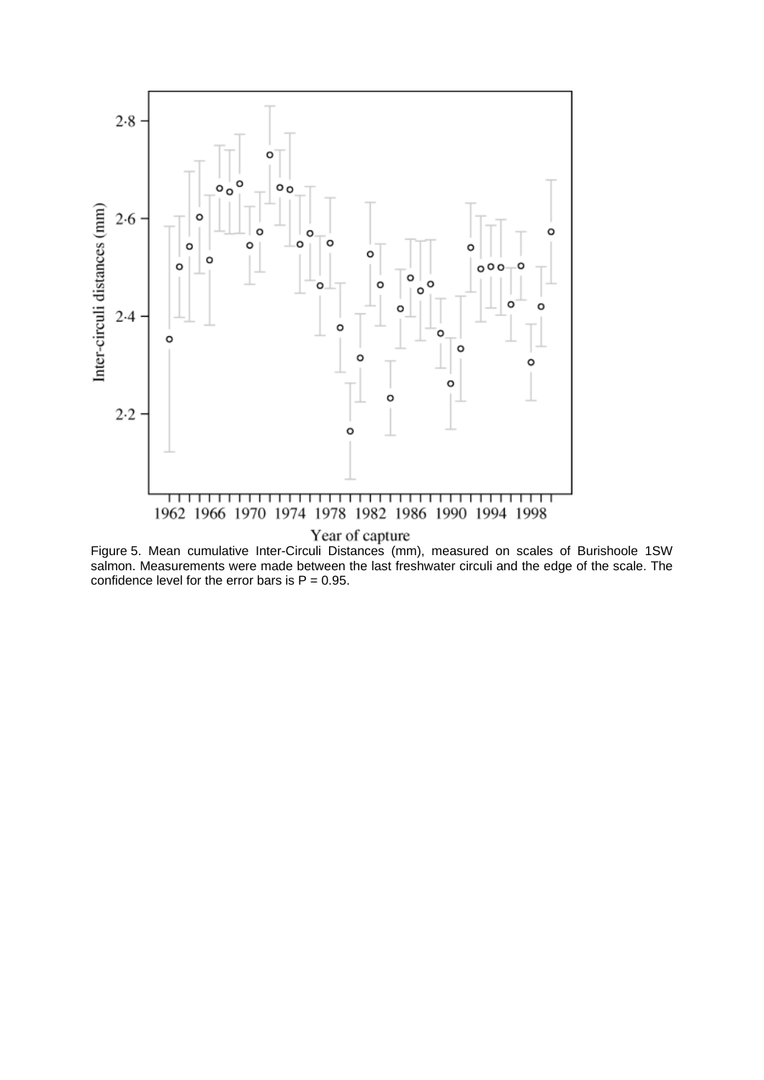

Figure 5. Mean cumulative Inter-Circuli Distances (mm), measured on scales of Burishoole 1SW salmon. Measurements were made between the last freshwater circuli and the edge of the scale. The confidence level for the error bars is  $P = 0.95$ .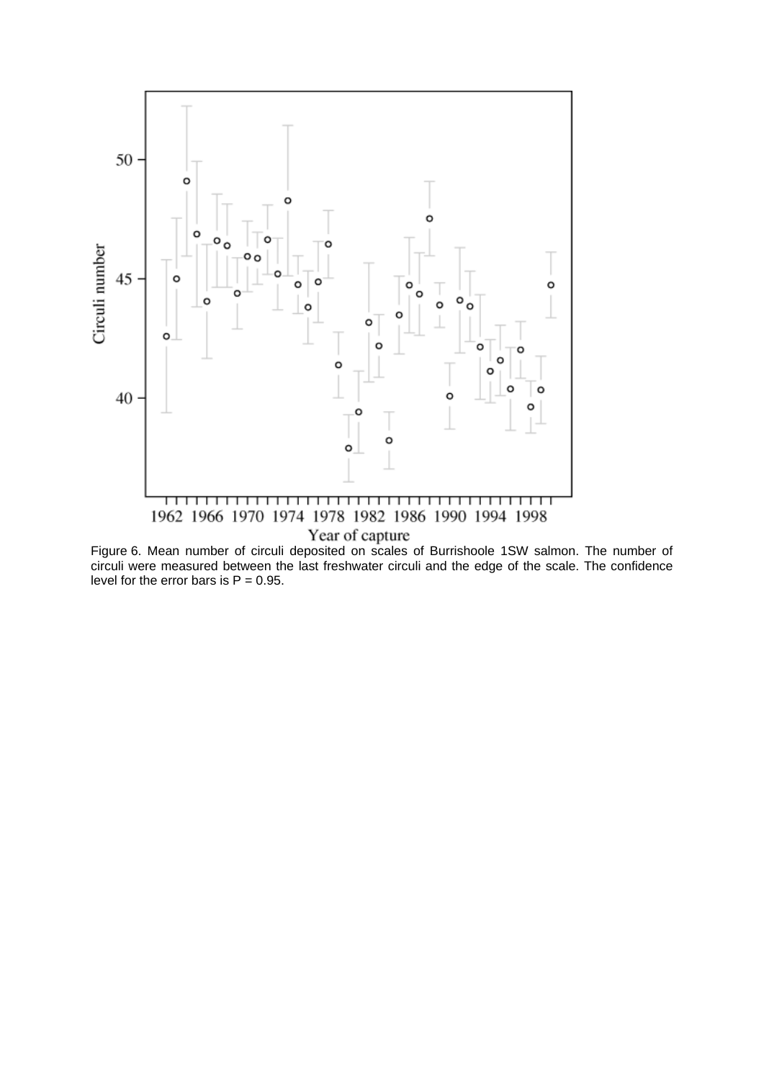

Figure 6. Mean number of circuli deposited on scales of Burrishoole 1SW salmon. The number of circuli were measured between the last freshwater circuli and the edge of the scale. The confidence level for the error bars is  $P = 0.95$ .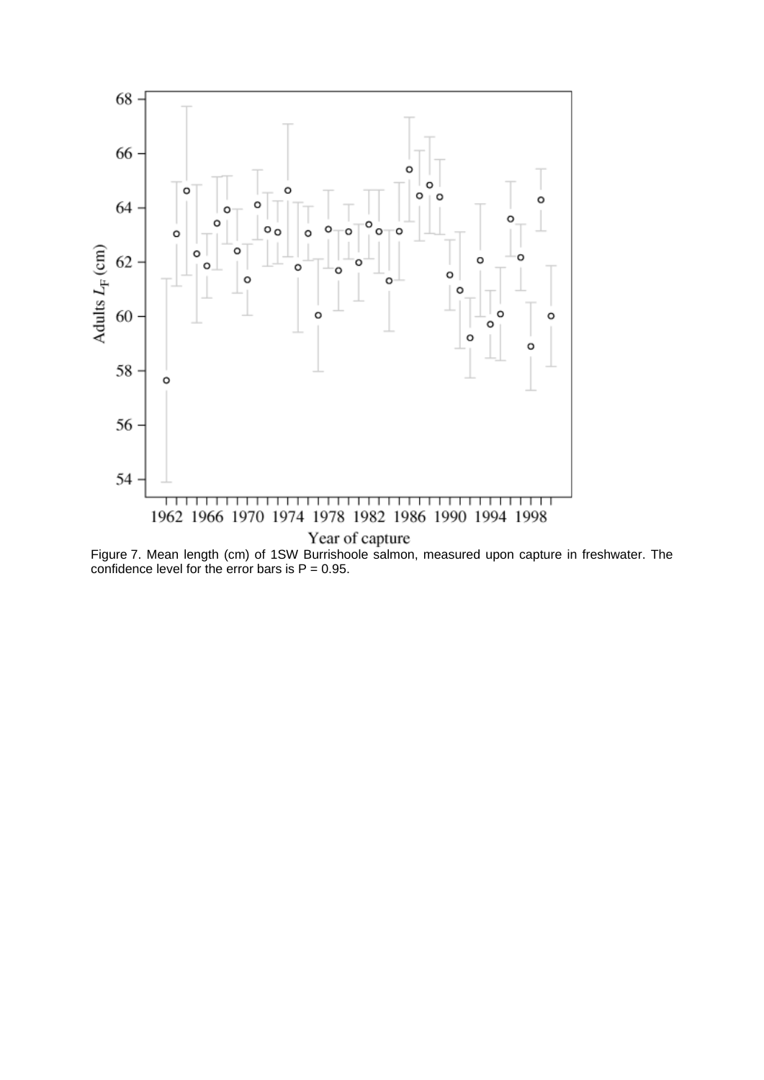

Figure 7. Mean length (cm) of 1SW Burrishoole salmon, measured upon capture in freshwater. The confidence level for the error bars is  $P = 0.95$ .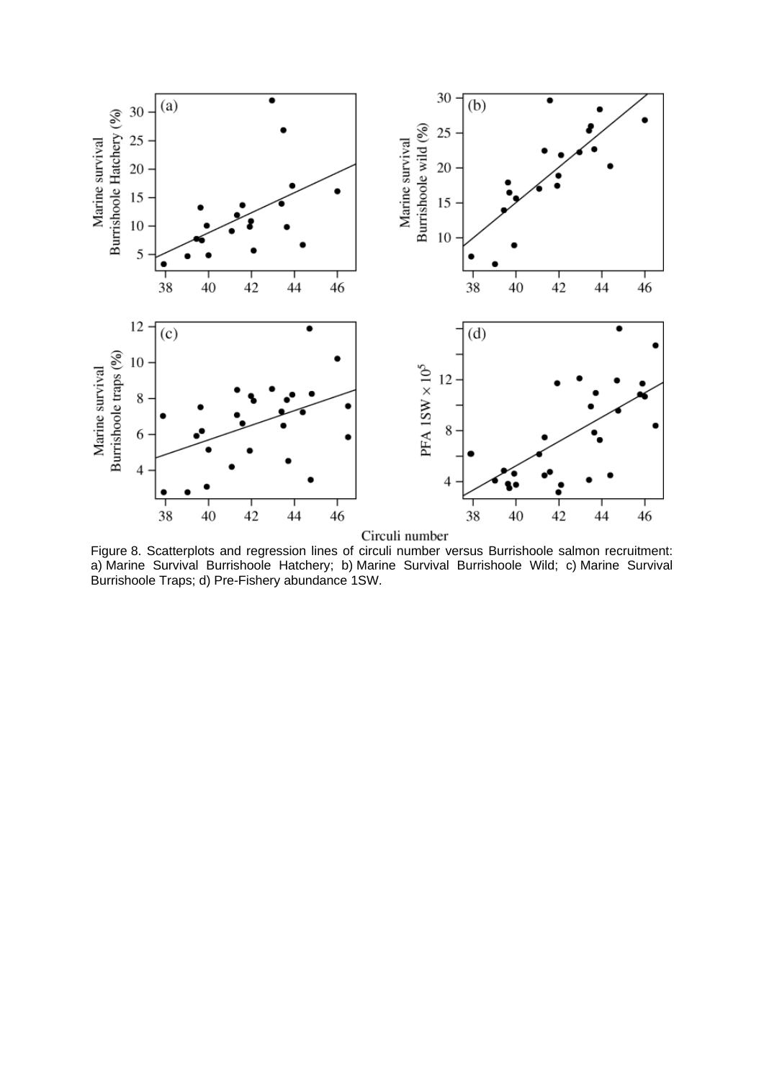

Figure 8. Scatterplots and regression lines of circuli number versus Burrishoole salmon recruitment: a) Marine Survival Burrishoole Hatchery; b) Marine Survival Burrishoole Wild; c) Marine Survival Burrishoole Traps; d) Pre-Fishery abundance 1SW.